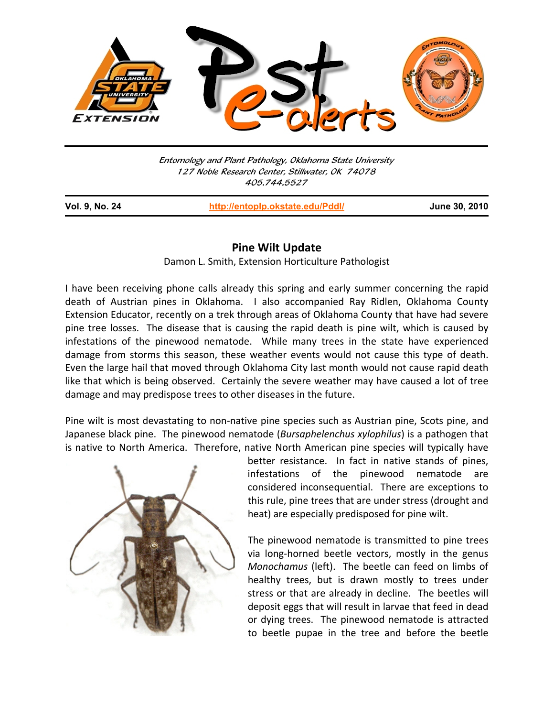

Entomology and Plant Pathology, Oklahoma State University 127 Noble Research Center, Stillwater, OK 74078 405.744.5527

j

**Vol. 9, No. 24 http://entoplp.okstate.edu/Pddl/ June 30, 2010**

## **Pine Wilt Update**

Damon L. Smith, Extension Horticulture Pathologist

I have been receiving phone calls already this spring and early summer concerning the rapid death of Austrian pines in Oklahoma. I also accompanied Ray Ridlen, Oklahoma County Extension Educator, recently on a trek through areas of Oklahoma County that have had severe pine tree losses. The disease that is causing the rapid death is pine wilt, which is caused by infestations of the pinewood nematode. While many trees in the state have experienced damage from storms this season, these weather events would not cause this type of death. Even the large hail that moved through Oklahoma City last month would not cause rapid death like that which is being observed. Certainly the severe weather may have caused a lot of tree damage and may predispose trees to other diseases in the future.

Pine wilt is most devastating to non‐native pine species such as Austrian pine, Scots pine, and Japanese black pine. The pinewood nematode (*Bursaphelenchus xylophilus*) is a pathogen that is native to North America. Therefore, native North American pine species will typically have



better resistance. In fact in native stands of pines, infestations of the pinewood nematode are considered inconsequential. There are exceptions to this rule, pine trees that are under stress (drought and heat) are especially predisposed for pine wilt.

The pinewood nematode is transmitted to pine trees via long‐horned beetle vectors, mostly in the genus *Monochamus* (left). The beetle can feed on limbs of healthy trees, but is drawn mostly to trees under stress or that are already in decline. The beetles will deposit eggs that will result in larvae that feed in dead or dying trees. The pinewood nematode is attracted to beetle pupae in the tree and before the beetle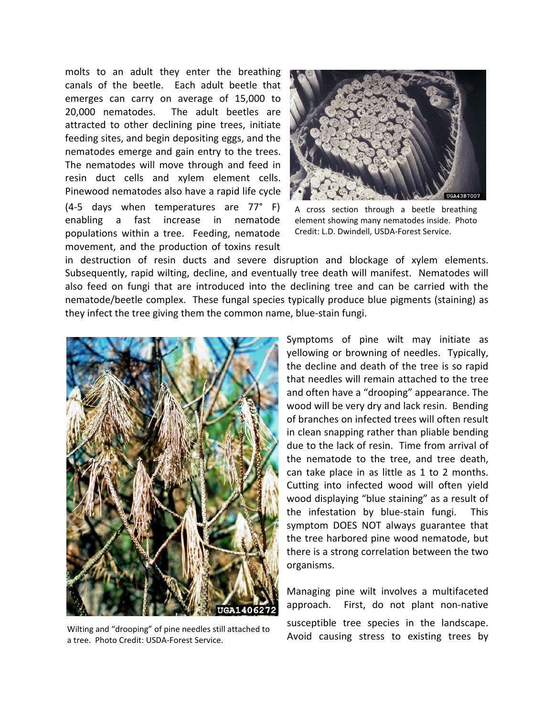molts to an adult they enter the breathing canals of the beetle. Each adult beetle that emerges can carry on average of 15,000 to 20,000 nematodes. The adult beetles are attracted to other declining pine trees, initiate feeding sites, and begin depositing eggs, and the nematodes emerge and gain entry to the trees. The nematodes will move through and feed in resin duct cells and xylem element cells. Pinewood nematodes also have a rapid life cycle (4‐5 days when temperatures are 77° F) enabling a fast increase in nematode populations within a tree. Feeding, nematode movement, and the production of toxins result



A cross section through a beetle breathing element showing many nematodes inside. Photo Credit: L.D. Dwindell, USDA‐Forest Service.

in destruction of resin ducts and severe disruption and blockage of xylem elements. Subsequently, rapid wilting, decline, and eventually tree death will manifest. Nematodes will also feed on fungi that are introduced into the declining tree and can be carried with the nematode/beetle complex. These fungal species typically produce blue pigments (staining) as they infect the tree giving them the common name, blue‐stain fungi.



a tree. Photo Credit: USDA‐Forest Service.

Symptoms of pine wilt may initiate as yellowing or browning of needles. Typically, the decline and death of the tree is so rapid that needles will remain attached to the tree and often have a "drooping" appearance. The wood will be very dry and lack resin. Bending of branches on infected trees will often result in clean snapping rather than pliable bending due to the lack of resin. Time from arrival of the nematode to the tree, and tree death, can take place in as little as 1 to 2 months. Cutting into infected wood will often yield wood displaying "blue staining" as a result of the infestation by blue‐stain fungi. This symptom DOES NOT always guarantee that the tree harbored pine wood nematode, but there is a strong correlation between the two organisms.

Managing pine wilt involves a multifaceted approach. First, do not plant non-native susceptible tree species in the landscape. Wilting and "drooping" of pine needles still attached to a subcoptibility trees by Nulting and "drooping" of pine needles still attached to a subcorpulation of the photo Credit: USDA-Forest Service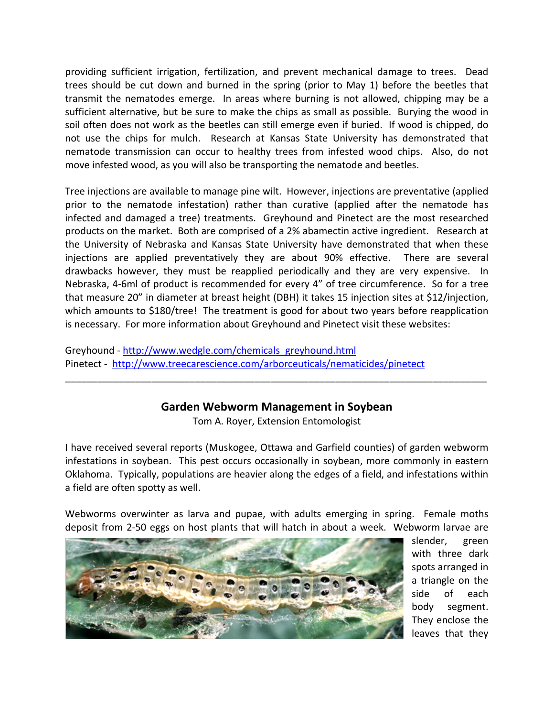providing sufficient irrigation, fertilization, and prevent mechanical damage to trees. Dead trees should be cut down and burned in the spring (prior to May 1) before the beetles that transmit the nematodes emerge. In areas where burning is not allowed, chipping may be a sufficient alternative, but be sure to make the chips as small as possible. Burying the wood in soil often does not work as the beetles can still emerge even if buried. If wood is chipped, do not use the chips for mulch. Research at Kansas State University has demonstrated that nematode transmission can occur to healthy trees from infested wood chips. Also, do not move infested wood, as you will also be transporting the nematode and beetles.

Tree injections are available to manage pine wilt. However, injections are preventative (applied prior to the nematode infestation) rather than curative (applied after the nematode has infected and damaged a tree) treatments. Greyhound and Pinetect are the most researched products on the market. Both are comprised of a 2% abamectin active ingredient. Research at the University of Nebraska and Kansas State University have demonstrated that when these injections are applied preventatively they are about 90% effective. There are several drawbacks however, they must be reapplied periodically and they are very expensive. In Nebraska, 4‐6ml of product is recommended for every 4" of tree circumference. So for a tree that measure 20" in diameter at breast height (DBH) it takes 15 injection sites at \$12/injection, which amounts to \$180/tree! The treatment is good for about two years before reapplication is necessary. For more information about Greyhound and Pinetect visit these websites:

Greyhound ‐ http://www.wedgle.com/chemicals\_greyhound.html Pinetect ‐ http://www.treecarescience.com/arborceuticals/nematicides/pinetect

## **Garden Webworm Management in Soybean**

\_\_\_\_\_\_\_\_\_\_\_\_\_\_\_\_\_\_\_\_\_\_\_\_\_\_\_\_\_\_\_\_\_\_\_\_\_\_\_\_\_\_\_\_\_\_\_\_\_\_\_\_\_\_\_\_\_\_\_\_\_\_\_\_\_\_\_\_\_\_\_\_\_\_\_\_\_\_

Tom A. Royer, Extension Entomologist

I have received several reports (Muskogee, Ottawa and Garfield counties) of garden webworm infestations in soybean. This pest occurs occasionally in soybean, more commonly in eastern Oklahoma. Typically, populations are heavier along the edges of a field, and infestations within a field are often spotty as well.

Webworms overwinter as larva and pupae, with adults emerging in spring. Female moths deposit from 2‐50 eggs on host plants that will hatch in about a week. Webworm larvae are



slender, green with three dark spots arranged in a triangle on the side of each body segment. They enclose the leaves that they